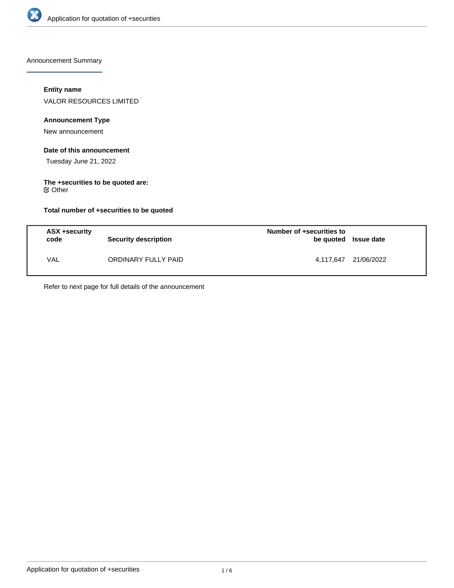

Announcement Summary

## **Entity name**

VALOR RESOURCES LIMITED

## **Announcement Type**

New announcement

### **Date of this announcement**

Tuesday June 21, 2022

#### **The +securities to be quoted are:** Other

## **Total number of +securities to be quoted**

| ASX +security<br>code | <b>Security description</b> | Number of +securities to<br>be quoted Issue date |                      |
|-----------------------|-----------------------------|--------------------------------------------------|----------------------|
| <b>VAL</b>            | ORDINARY FULLY PAID         |                                                  | 4,117,647 21/06/2022 |

Refer to next page for full details of the announcement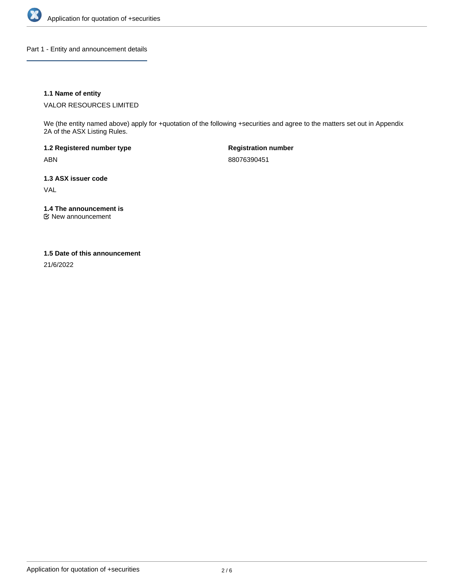

Part 1 - Entity and announcement details

## **1.1 Name of entity**

VALOR RESOURCES LIMITED

We (the entity named above) apply for +quotation of the following +securities and agree to the matters set out in Appendix 2A of the ASX Listing Rules.

**1.2 Registered number type** ABN

**Registration number** 88076390451

**1.3 ASX issuer code** VAL

**1.4 The announcement is**

New announcement

### **1.5 Date of this announcement**

21/6/2022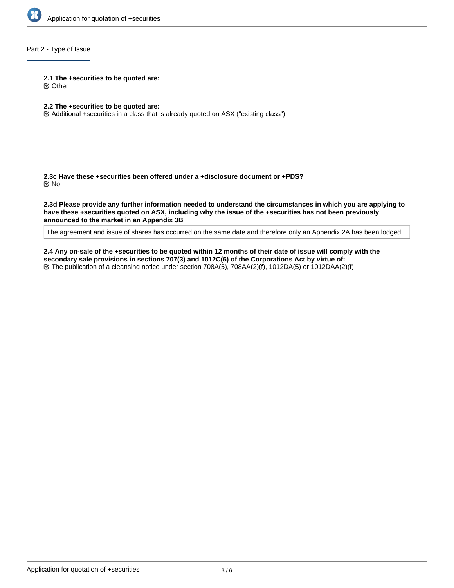

# Part 2 - Type of Issue

**2.1 The +securities to be quoted are:**

Other

- **2.2 The +securities to be quoted are:**
- Additional +securities in a class that is already quoted on ASX ("existing class")

**2.3c Have these +securities been offered under a +disclosure document or +PDS?** No

**2.3d Please provide any further information needed to understand the circumstances in which you are applying to have these +securities quoted on ASX, including why the issue of the +securities has not been previously announced to the market in an Appendix 3B**

The agreement and issue of shares has occurred on the same date and therefore only an Appendix 2A has been lodged

**2.4 Any on-sale of the +securities to be quoted within 12 months of their date of issue will comply with the secondary sale provisions in sections 707(3) and 1012C(6) of the Corporations Act by virtue of:** The publication of a cleansing notice under section 708A(5), 708AA(2)(f), 1012DA(5) or 1012DAA(2)(f)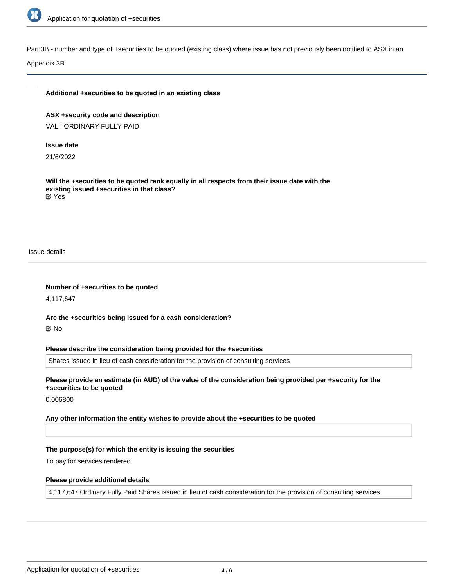

Part 3B - number and type of +securities to be quoted (existing class) where issue has not previously been notified to ASX in an

Appendix 3B

#### **Additional +securities to be quoted in an existing class**

**ASX +security code and description** VAL : ORDINARY FULLY PAID

#### **Issue date**

21/6/2022

**Will the +securities to be quoted rank equally in all respects from their issue date with the existing issued +securities in that class?** Yes

Issue details

**Number of +securities to be quoted**

4,117,647

**Are the +securities being issued for a cash consideration?** No

**Please describe the consideration being provided for the +securities**

Shares issued in lieu of cash consideration for the provision of consulting services

**Please provide an estimate (in AUD) of the value of the consideration being provided per +security for the +securities to be quoted**

0.006800

**Any other information the entity wishes to provide about the +securities to be quoted**

#### **The purpose(s) for which the entity is issuing the securities**

To pay for services rendered

#### **Please provide additional details**

4,117,647 Ordinary Fully Paid Shares issued in lieu of cash consideration for the provision of consulting services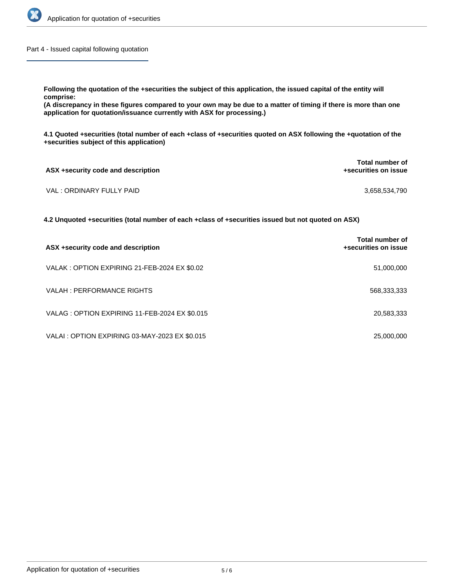

Part 4 - Issued capital following quotation

**Following the quotation of the +securities the subject of this application, the issued capital of the entity will comprise:**

**(A discrepancy in these figures compared to your own may be due to a matter of timing if there is more than one application for quotation/issuance currently with ASX for processing.)**

**4.1 Quoted +securities (total number of each +class of +securities quoted on ASX following the +quotation of the +securities subject of this application)**

| ASX +security code and description | <b>Total number of</b><br>+securities on issue |  |
|------------------------------------|------------------------------------------------|--|
| VAL : ORDINARY FULLY PAID          | 3,658,534,790                                  |  |

**4.2 Unquoted +securities (total number of each +class of +securities issued but not quoted on ASX)**

| ASX +security code and description             | Total number of<br>+securities on issue |
|------------------------------------------------|-----------------------------------------|
| VALAK : OPTION EXPIRING 21-FEB-2024 EX \$0.02  | 51,000,000                              |
| VALAH : PERFORMANCE RIGHTS                     | 568,333,333                             |
| VALAG: OPTION EXPIRING 11-FEB-2024 EX \$0.015  | 20,583,333                              |
| VALAI : OPTION EXPIRING 03-MAY-2023 EX \$0.015 | 25,000,000                              |